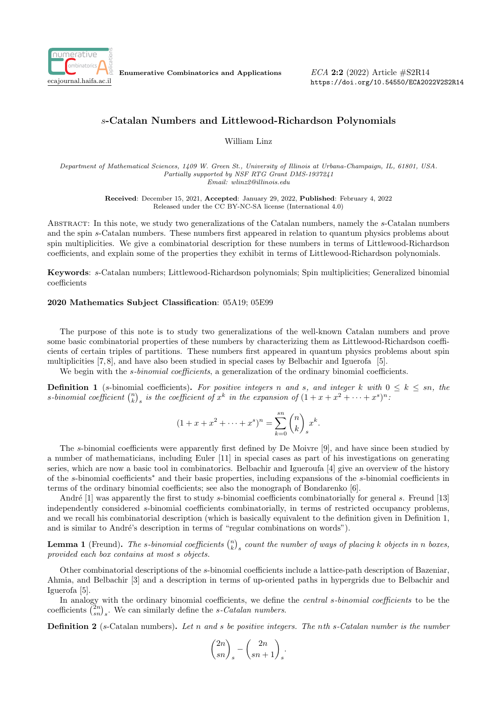

Enumerative Combinatorics and Applications

ECA 2:2 (2022) Article #S2R14 <https://doi.org/10.54550/ECA2022V2S2R14>

## s-Catalan Numbers and Littlewood-Richardson Polynomials

William Linz

Department of Mathematical Sciences, 1409 W. Green St., University of Illinois at Urbana-Champaign, IL, 61801, USA. Partially supported by NSF RTG Grant DMS-1937241 Email: wlinz2@illinois.edu

> Received: December 15, 2021, Accepted: January 29, 2022, Published: February 4, 2022 Released under the CC BY-NC-SA license (International 4.0)

Abstract: In this note, we study two generalizations of the Catalan numbers, namely the s-Catalan numbers and the spin s-Catalan numbers. These numbers first appeared in relation to quantum physics problems about spin multiplicities. We give a combinatorial description for these numbers in terms of Littlewood-Richardson coefficients, and explain some of the properties they exhibit in terms of Littlewood-Richardson polynomials.

Keywords: s-Catalan numbers; Littlewood-Richardson polynomials; Spin multiplicities; Generalized binomial coefficients

## 2020 Mathematics Subject Classification: 05A19; 05E99

The purpose of this note is to study two generalizations of the well-known Catalan numbers and prove some basic combinatorial properties of these numbers by characterizing them as Littlewood-Richardson coefficients of certain triples of partitions. These numbers first appeared in quantum physics problems about spin multiplicities [\[7,](#page-4-0) [8\]](#page-4-1), and have also been studied in special cases by Belbachir and Iguerofa [\[5\]](#page-4-2).

We begin with the *s-binomial coefficients*, a generalization of the ordinary binomial coefficients.

<span id="page-0-0"></span>**Definition 1** (s-binomial coefficients). For positive integers n and s, and integer k with  $0 \leq k \leq sn$ , the s-binomial coefficient  $\binom{n}{k}_s$  is the coefficient of  $x^k$  in the expansion of  $(1 + x + x^2 + \cdots + x^s)^n$ .

$$
(1 + x + x2 + \dots + xs)n = \sum_{k=0}^{sn} {n \choose k}_{s} xk.
$$

The s-binomial coefficients were apparently first defined by De Moivre [\[9\]](#page-4-3), and have since been studied by a number of mathematicians, including Euler [\[11\]](#page-4-4) in special cases as part of his investigations on generating series, which are now a basic tool in combinatorics. Belbachir and Igueroufa [\[4\]](#page-4-5) give an overview of the history of the s-binomial coefficients[∗](#page-1-0) and their basic properties, including expansions of the s-binomial coefficients in terms of the ordinary binomial coefficients; see also the monograph of Bondarenko [\[6\]](#page-4-6).

André  $[1]$  was apparently the first to study s-binomial coefficients combinatorially for general s. Freund  $[13]$ independently considered s-binomial coefficients combinatorially, in terms of restricted occupancy problems, and we recall his combinatorial description (which is basically equivalent to the definition given in Definition [1,](#page-0-0) and is similar to André's description in terms of "regular combinations on words").

<span id="page-0-1"></span>**Lemma 1** (Freund). The s-binomial coefficients  $\binom{n}{k}$  count the number of ways of placing k objects in n boxes, provided each box contains at most s objects.

Other combinatorial descriptions of the s-binomial coefficients include a lattice-path description of Bazeniar, Ahmia, and Belbachir [\[3\]](#page-4-9) and a description in terms of up-oriented paths in hypergrids due to Belbachir and Iguerofa [\[5\]](#page-4-2).

In analogy with the ordinary binomial coefficients, we define the *central s-binomial coefficients* to be the coefficients  $\binom{2n}{sn}_s$ . We can similarly define the s-Catalan numbers.

**Definition 2** (s-Catalan numbers). Let n and s be positive integers. The nth s-Catalan number is the number

$$
\binom{2n}{sn}_s - \binom{2n}{sn+1}_s.
$$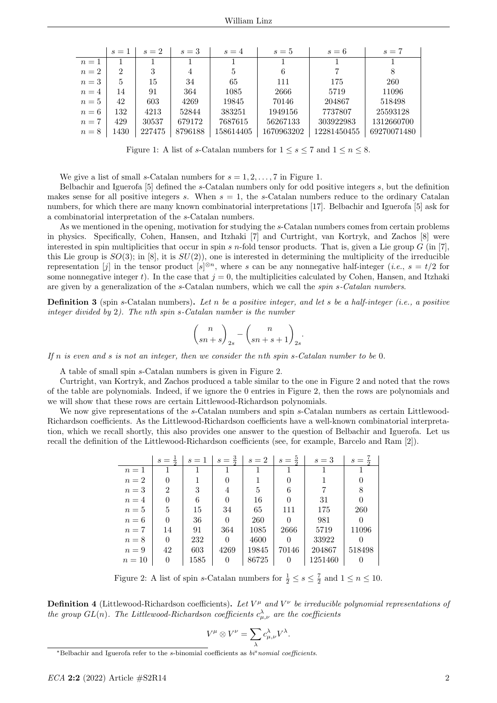<span id="page-1-1"></span>

|       | $s=1$ | $s=2$  | $s=3$   | $s=4$     | $s=5$      | $s=6$       | $s=7$       |
|-------|-------|--------|---------|-----------|------------|-------------|-------------|
| $n=1$ |       |        |         |           |            |             |             |
| $n=2$ | 2     | 3      | 4       | 5         | 6          |             | 8           |
| $n=3$ | 5     | 15     | 34      | 65        | 111        | 175         | 260         |
| $n=4$ | 14    | 91     | 364     | 1085      | 2666       | 5719        | 11096       |
| $n=5$ | 42    | 603    | 4269    | 19845     | 70146      | 204867      | 518498      |
| $n=6$ | 132   | 4213   | 52844   | 383251    | 1949156    | 7737807     | 25593128    |
| $n=7$ | 429   | 30537  | 679172  | 7687615   | 56267133   | 303922983   | 1312660700  |
| $n=8$ | 1430  | 227475 | 8796188 | 158614405 | 1670963202 | 12281450455 | 69270071480 |

Figure 1: A list of s-Catalan numbers for  $1 \leq s \leq 7$  and  $1 \leq n \leq 8$ .

We give a list of small s-Catalan numbers for  $s = 1, 2, \ldots, 7$  in Figure [1.](#page-1-1)

Belbachir and Iguerofa [\[5\]](#page-4-2) defined the s-Catalan numbers only for odd positive integers s, but the definition makes sense for all positive integers s. When  $s = 1$ , the s-Catalan numbers reduce to the ordinary Catalan numbers, for which there are many known combinatorial interpretations [\[17\]](#page-4-10). Belbachir and Iguerofa [\[5\]](#page-4-2) ask for a combinatorial interpretation of the s-Catalan numbers.

As we mentioned in the opening, motivation for studying the s-Catalan numbers comes from certain problems in physics. Specifically, Cohen, Hansen, and Itzhaki [\[7\]](#page-4-0) and Curtright, van Kortryk, and Zachos [\[8\]](#page-4-1) were interested in spin multiplicities that occur in spin s n-fold tensor products. That is, given a Lie group  $G$  (in [\[7\]](#page-4-0), this Lie group is  $SO(3)$ ; in [\[8\]](#page-4-1), it is  $SU(2)$ , one is interested in determining the multiplicity of the irreducible representation [j] in the tensor product  $[s]^{\otimes n}$ , where s can be any nonnegative half-integer (*i.e.*,  $s = t/2$  for some nonnegative integer t). In the case that  $j = 0$ , the multiplicities calculated by Cohen, Hansen, and Itzhaki are given by a generalization of the s-Catalan numbers, which we call the spin s-Catalan numbers.

**Definition 3** (spin s-Catalan numbers). Let n be a positive integer, and let s be a half-integer (i.e., a positive integer divided by 2). The nth spin s-Catalan number is the number

$$
\binom{n}{sn+s}_{2s} - \binom{n}{sn+s+1}_{2s}.
$$

If  $n$  is even and  $s$  is not an integer, then we consider the nth spin s-Catalan number to be 0.

A table of small spin s-Catalan numbers is given in Figure [2.](#page-1-2)

Curtright, van Kortryk, and Zachos produced a table similar to the one in Figure [2](#page-1-2) and noted that the rows of the table are polynomials. Indeed, if we ignore the 0 entries in Figure [2,](#page-1-2) then the rows are polynomials and we will show that these rows are certain Littlewood-Richardson polynomials.

<span id="page-1-2"></span>We now give representations of the s-Catalan numbers and spin s-Catalan numbers as certain Littlewood-Richardson coefficients. As the Littlewood-Richardson coefficients have a well-known combinatorial interpretation, which we recall shortly, this also provides one answer to the question of Belbachir and Iguerofa. Let us recall the definition of the Littlewood-Richardson coefficients (see, for example, Barcelo and Ram [\[2\]](#page-4-11)).

|        | $s =$          | $s=1$ | $s=\frac{3}{2}$ | $s=2$ | $s=\frac{5}{5}$ | $s=3$   | $s =$  |
|--------|----------------|-------|-----------------|-------|-----------------|---------|--------|
| $n=1$  |                |       |                 |       |                 |         |        |
| $n=2$  |                |       |                 |       |                 |         |        |
| $n=3$  | $\overline{2}$ | 3     | 4               | 5     | 6               |         | 8      |
| $n=4$  |                | 6     | $\Omega$        | 16    |                 | 31      |        |
| $n=5$  | 5              | 15    | 34              | 65    | 111             | 175     | 260    |
| $n=6$  |                | 36    | $\theta$        | 260   | 0               | 981     |        |
| $n=7$  | 14             | 91    | 364             | 1085  | 2666            | 5719    | 11096  |
| $n=8$  | 0              | 232   | $\Omega$        | 4600  | 0               | 33922   |        |
| $n=9$  | 42             | 603   | 4269            | 19845 | 70146           | 204867  | 518498 |
| $n=10$ | 0              | 1585  | $\Omega$        | 86725 |                 | 1251460 |        |

Figure 2: A list of spin s-Catalan numbers for  $\frac{1}{2} \leq s \leq \frac{7}{2}$  and  $1 \leq n \leq 10$ .

**Definition 4** (Littlewood-Richardson coefficients). Let  $V^{\mu}$  and  $V^{\nu}$  be irreducible polynomial representations of the group  $GL(n)$ . The Littlewood-Richardson coefficients  $c^{\lambda}_{\mu,\nu}$  are the coefficients

$$
V^{\mu} \otimes V^{\nu} = \sum_{\lambda} c_{\mu,\nu}^{\lambda} V^{\lambda}.
$$

<span id="page-1-0"></span><sup>\*</sup>Belbachir and Iguerofa refer to the s-binomial coefficients as  $bi<sup>s</sup>nomial coefficients$ .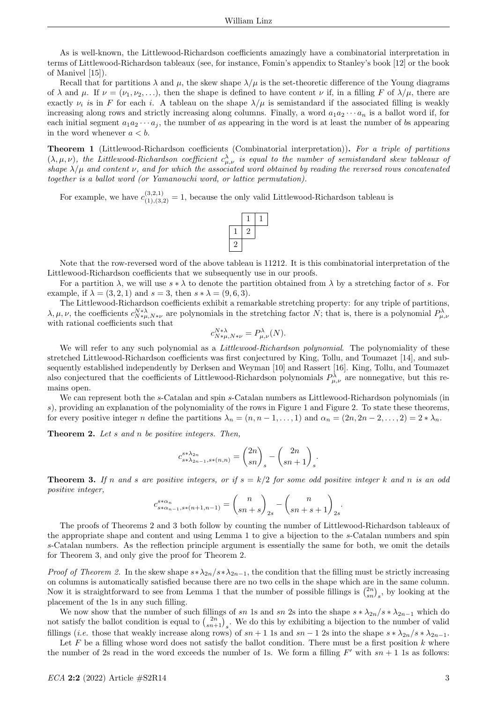As is well-known, the Littlewood-Richardson coefficients amazingly have a combinatorial interpretation in terms of Littlewood-Richardson tableaux (see, for instance, Fomin's appendix to Stanley's book [\[12\]](#page-4-12) or the book of Manivel [\[15\]](#page-4-13)).

Recall that for partitions  $\lambda$  and  $\mu$ , the skew shape  $\lambda/\mu$  is the set-theoretic difference of the Young diagrams of  $\lambda$  and  $\mu$ . If  $\nu = (\nu_1, \nu_2, \ldots)$ , then the shape is defined to have content  $\nu$  if, in a filling F of  $\lambda/\mu$ , there are exactly  $\nu_i$  is in F for each i. A tableau on the shape  $\lambda/\mu$  is semistandard if the associated filling is weakly increasing along rows and strictly increasing along columns. Finally, a word  $a_1a_2\cdots a_n$  is a ballot word if, for each initial segment  $a_1a_2\cdots a_j$ , the number of as appearing in the word is at least the number of bs appearing in the word whenever  $a < b$ .

**Theorem 1** (Littlewood-Richardson coefficients (Combinatorial interpretation)). For a triple of partitions  $(\lambda,\mu,\nu)$ , the Littlewood-Richardson coefficient  $c^{\lambda}_{\mu,\nu}$  is equal to the number of semistandard skew tableaux of shape  $\lambda/\mu$  and content  $\nu$ , and for which the associated word obtained by reading the reversed rows concatenated together is a ballot word (or Yamanouchi word, or lattice permutation).

For example, we have  $c_{(1),(3,2)}^{(3,2,1)} = 1$ , because the only valid Littlewood-Richardson tableau is



Note that the row-reversed word of the above tableau is 11212. It is this combinatorial interpretation of the Littlewood-Richardson coefficients that we subsequently use in our proofs.

For a partition  $\lambda$ , we will use  $s * \lambda$  to denote the partition obtained from  $\lambda$  by a stretching factor of s. For example, if  $\lambda = (3, 2, 1)$  and  $s = 3$ , then  $s * \lambda = (9, 6, 3)$ .

The Littlewood-Richardson coefficients exhibit a remarkable stretching property: for any triple of partitions,  $\lambda, \mu, \nu$ , the coefficients  $c_{N*\mu,N*\nu}^{N*\lambda}$  are polynomials in the stretching factor N; that is, there is a polynomial  $P_{\mu,\nu}^{\lambda}$ with rational coefficients such that

$$
c_{N*\mu, N*\nu}^{N*\lambda} = P_{\mu,\nu}^{\lambda}(N).
$$

We will refer to any such polynomial as a *Littlewood-Richardson polynomial*. The polynomiality of these stretched Littlewood-Richardson coefficients was first conjectured by King, Tollu, and Toumazet [\[14\]](#page-4-14), and subsequently established independently by Derksen and Weyman [\[10\]](#page-4-15) and Rassert [\[16\]](#page-4-16). King, Tollu, and Toumazet also conjectured that the coefficients of Littlewood-Richardson polynomials  $P_{\mu,\nu}^{\lambda}$  are nonnegative, but this remains open.

We can represent both the s-Catalan and spin s-Catalan numbers as Littlewood-Richardson polynomials (in s), providing an explanation of the polynomiality of the rows in Figure [1](#page-1-1) and Figure [2.](#page-1-2) To state these theorems, for every positive integer n define the partitions  $\lambda_n = (n, n-1, \ldots, 1)$  and  $\alpha_n = (2n, 2n-2, \ldots, 2) = 2 * \lambda_n$ .

<span id="page-2-0"></span>Theorem 2. Let s and n be positive integers. Then,

$$
c_{s*\lambda_{2n-1},s*(n,n)}^{s*\lambda_{2n}} = \binom{2n}{sn}_s - \binom{2n}{sn+1}_s.
$$

<span id="page-2-1"></span>**Theorem 3.** If n and s are positive integers, or if  $s = k/2$  for some odd positive integer k and n is an odd positive integer,

$$
c_{s * \alpha_{n-1}, s * (n+1, n-1)}^{s * \alpha_n} = {n \choose s n+s}_{2s} - {n \choose s n+s+1}_{2s}.
$$

The proofs of Theorems [2](#page-2-0) and [3](#page-2-1) both follow by counting the number of Littlewood-Richardson tableaux of the appropriate shape and content and using Lemma [1](#page-0-1) to give a bijection to the s-Catalan numbers and spin s-Catalan numbers. As the reflection principle argument is essentially the same for both, we omit the details for Theorem [3,](#page-2-1) and only give the proof for Theorem [2.](#page-2-0)

*Proof of Theorem [2.](#page-2-0)* In the skew shape  $s*\lambda_{2n}/s*\lambda_{2n-1}$ , the condition that the filling must be strictly increasing on columns is automatically satisfied because there are no two cells in the shape which are in the same column. Now it is straightforward to see from Lemma [1](#page-0-1) that the number of possible fillings is  $\binom{2n}{sn}_s$ , by looking at the placement of the 1s in any such filling.

We now show that the number of such fillings of sn 1s and sn 2s into the shape  $s * \lambda_{2n}/s * \lambda_{2n-1}$  which do not satisfy the ballot condition is equal to  $\binom{2n}{sn+1}_s$ . We do this by exhibiting a bijection to the number of valid fillings (*i.e.* those that weakly increase along rows) of  $sn + 1$  1s and  $sn - 1$  2s into the shape  $s * \lambda_{2n}/s * \lambda_{2n-1}$ .

Let  $F$  be a filling whose word does not satisfy the ballot condition. There must be a first position  $k$  where the number of 2s read in the word exceeds the number of 1s. We form a filling  $F'$  with  $sn + 1$  1s as follows: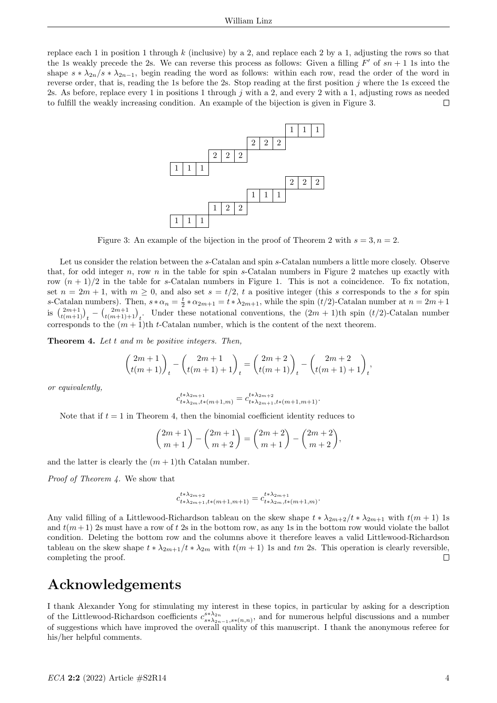<span id="page-3-0"></span>replace each 1 in position 1 through  $k$  (inclusive) by a 2, and replace each 2 by a 1, adjusting the rows so that the 1s weakly precede the 2s. We can reverse this process as follows: Given a filling  $F'$  of  $sn + 1$  1s into the shape  $s * \lambda_{2n}/s * \lambda_{2n-1}$ , begin reading the word as follows: within each row, read the order of the word in reverse order, that is, reading the 1s before the 2s. Stop reading at the first position  $j$  where the 1s exceed the 2s. As before, replace every 1 in positions 1 through j with a 2, and every 2 with a 1, adjusting rows as needed to fulfill the weakly increasing condition. An example of the bijection is given in Figure [3.](#page-3-0) П



Figure 3: An example of the bijection in the proof of Theorem [2](#page-2-0) with  $s = 3, n = 2$ .

Let us consider the relation between the s-Catalan and spin s-Catalan numbers a little more closely. Observe that, for odd integer n, row n in the table for spin s-Catalan numbers in Figure 2 matches up exactly with row  $(n + 1)/2$  in the table for s-Catalan numbers in Figure 1. This is not a coincidence. To fix notation, set  $n = 2m + 1$ , with  $m \ge 0$ , and also set  $s = t/2$ , t a positive integer (this s corresponds to the s for spin s-Catalan numbers). Then,  $s * \alpha_n = \frac{t}{2} * \alpha_{2m+1} = t * \lambda_{2m+1}$ , while the spin  $(t/2)$ -Catalan number at  $n = 2m+1$ is  $\binom{2m+1}{t(m+1)}_t - \binom{2m+1}{t(m+1)+1}_t$ . Under these notational conventions, the  $(2m+1)$ th spin  $(t/2)$ -Catalan number corresponds to the  $(m+1)$ th t-Catalan number, which is the content of the next theorem.

<span id="page-3-1"></span>Theorem 4. Let t and m be positive integers. Then,

$$
\binom{2m+1}{t(m+1)}_t - \binom{2m+1}{t(m+1)+1}_t = \binom{2m+2}{t(m+1)}_t - \binom{2m+2}{t(m+1)+1}_t,
$$

or equivalently,

$$
c_{t*\lambda_{2m},t*(m+1,m)}^{t*\lambda_{2m+1}}=c_{t*\lambda_{2m+1},t*(m+1,m+1)}^{t*\lambda_{2m+2}}.
$$

Note that if  $t = 1$  in Theorem [4,](#page-3-1) then the binomial coefficient identity reduces to

$$
\binom{2m+1}{m+1} - \binom{2m+1}{m+2} = \binom{2m+2}{m+1} - \binom{2m+2}{m+2},
$$

and the latter is clearly the  $(m + 1)$ th Catalan number.

Proof of Theorem [4.](#page-3-1) We show that

$$
c_{t*\lambda_{2m+1},t*(m+1,m+1)}^{t*\lambda_{2m+2}} = c_{t*\lambda_{2m},t*(m+1,m)}^{t*\lambda_{2m+1}}.
$$

Any valid filling of a Littlewood-Richardson tableau on the skew shape  $t * \lambda_{2m+2}/t * \lambda_{2m+1}$  with  $t(m + 1)$  1s and  $t(m+1)$  2s must have a row of t 2s in the bottom row, as any 1s in the bottom row would violate the ballot condition. Deleting the bottom row and the columns above it therefore leaves a valid Littlewood-Richardson tableau on the skew shape  $t * \lambda_{2m+1}/t * \lambda_{2m}$  with  $t(m + 1)$  1s and  $tm$  2s. This operation is clearly reversible, completing the proof.  $\Box$ 

## Acknowledgements

I thank Alexander Yong for stimulating my interest in these topics, in particular by asking for a description of the Littlewood-Richardson coefficients  $c_{s*\lambda_{2n-1},s*(n,n)}^{s*\lambda_{2n}}$ , and for numerous helpful discussions and a number of suggestions which have improved the overall quality of this manuscript. I thank the anonymous referee for his/her helpful comments.